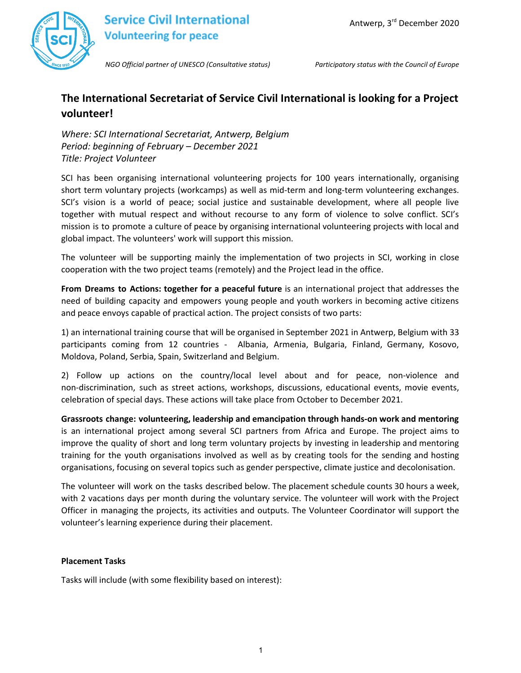

# **Service Civil International Volunteering for peace**

*NGO Official partner of UNESCO (Consultative status) Participatory status with the Council of Europe*

## **The International Secretariat of Service Civil International is looking for a Project volunteer!**

*Where: SCI International Secretariat, Antwerp, Belgium Period: beginning of February – December 2021 Title: Project Volunteer*

SCI has been organising international volunteering projects for 100 years internationally, organising short term voluntary projects (workcamps) as well as mid-term and long-term volunteering exchanges. SCI's vision is a world of peace; social justice and sustainable development, where all people live together with mutual respect and without recourse to any form of violence to solve conflict. SCI's mission is to promote a culture of peace by organising international volunteering projects with local and global impact. The volunteers' work will support this mission.

The volunteer will be supporting mainly the implementation of two projects in SCI, working in close cooperation with the two project teams (remotely) and the Project lead in the office.

**From Dreams to Actions: together for a peaceful future** is an international project that addresses the need of building capacity and empowers young people and youth workers in becoming active citizens and peace envoys capable of practical action. The project consists of two parts:

1) an international training course that will be organised in September 2021 in Antwerp, Belgium with 33 participants coming from 12 countries - Albania, Armenia, Bulgaria, Finland, Germany, Kosovo, Moldova, Poland, Serbia, Spain, Switzerland and Belgium.

2) Follow up actions on the country/local level about and for peace, non-violence and non-discrimination, such as street actions, workshops, discussions, educational events, movie events, celebration of special days. These actions will take place from October to December 2021.

**Grassroots change: volunteering, leadership and emancipation through hands-on work and mentoring** is an international project among several SCI partners from Africa and Europe. The project aims to improve the quality of short and long term voluntary projects by investing in leadership and mentoring training for the youth organisations involved as well as by creating tools for the sending and hosting organisations, focusing on several topics such as gender perspective, climate justice and decolonisation.

The volunteer will work on the tasks described below. The placement schedule counts 30 hours a week, with 2 vacations days per month during the voluntary service. The volunteer will work with the Project Officer in managing the projects, its activities and outputs. The Volunteer Coordinator will support the volunteer's learning experience during their placement.

#### **Placement Tasks**

Tasks will include (with some flexibility based on interest):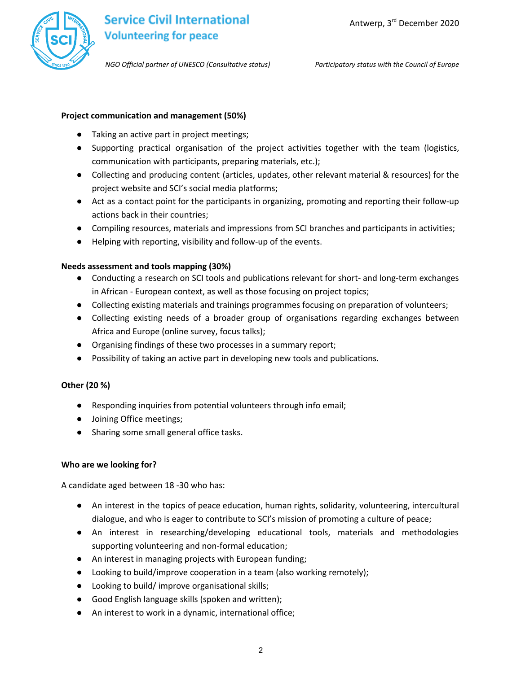

*NGO Official partner of UNESCO (Consultative status) Participatory status with the Council of Europe*

### **Project communication and management (50%)**

- Taking an active part in project meetings;
- Supporting practical organisation of the project activities together with the team (logistics, communication with participants, preparing materials, etc.);
- Collecting and producing content (articles, updates, other relevant material & resources) for the project website and SCI's social media platforms;
- Act as a contact point for the participants in organizing, promoting and reporting their follow-up actions back in their countries;
- Compiling resources, materials and impressions from SCI branches and participants in activities;
- Helping with reporting, visibility and follow-up of the events.

#### **Needs assessment and tools mapping (30%)**

- Conducting a research on SCI tools and publications relevant for short- and long-term exchanges in African - European context, as well as those focusing on project topics;
- Collecting existing materials and trainings programmes focusing on preparation of volunteers;
- Collecting existing needs of a broader group of organisations regarding exchanges between Africa and Europe (online survey, focus talks);
- Organising findings of these two processes in a summary report;
- Possibility of taking an active part in developing new tools and publications.

#### **Other (20 %)**

- Responding inquiries from potential volunteers through info email;
- Joining Office meetings;
- Sharing some small general office tasks.

#### **Who are we looking for?**

A candidate aged between 18 -30 who has:

- An interest in the topics of peace education, human rights, solidarity, volunteering, intercultural dialogue, and who is eager to contribute to SCI's mission of promoting a culture of peace;
- An interest in researching/developing educational tools, materials and methodologies supporting volunteering and non-formal education;
- An interest in managing projects with European funding;
- Looking to build/improve cooperation in a team (also working remotely);
- Looking to build/ improve organisational skills;
- Good English language skills (spoken and written);
- An interest to work in a dynamic, international office;